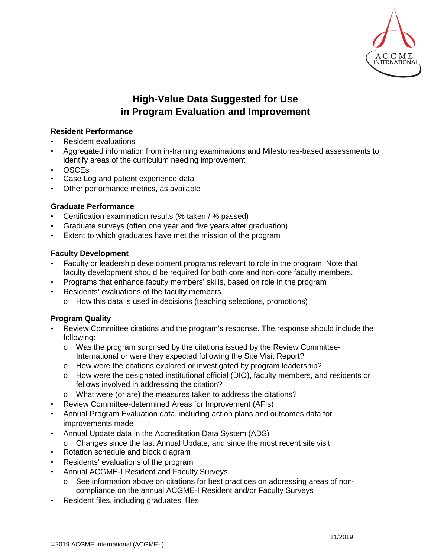

# **High-Value Data Suggested for Use in Program Evaluation and Improvement**

# **Resident Performance**

- Resident evaluations
- Aggregated information from in-training examinations and Milestones-based assessments to identify areas of the curriculum needing improvement
- OSCEs
- Case Log and patient experience data
- Other performance metrics, as available

## **Graduate Performance**

- Certification examination results (% taken / % passed)
- Graduate surveys (often one year and five years after graduation)
- Extent to which graduates have met the mission of the program

### **Faculty Development**

- Faculty or leadership development programs relevant to role in the program. Note that faculty development should be required for both core and non-core faculty members.
- Programs that enhance faculty members' skills, based on role in the program
- Residents' evaluations of the faculty members
	- o How this data is used in decisions (teaching selections, promotions)

### **Program Quality**

- Review Committee citations and the program's response. The response should include the following:
	- o Was the program surprised by the citations issued by the Review Committee-International or were they expected following the Site Visit Report?
	- o How were the citations explored or investigated by program leadership?
	- o How were the designated institutional official (DIO), faculty members, and residents or fellows involved in addressing the citation?
	- o What were (or are) the measures taken to address the citations?
- Review Committee-determined Areas for Improvement (AFIs)
- Annual Program Evaluation data, including action plans and outcomes data for improvements made
- Annual Update data in the Accreditation Data System (ADS)
	- o Changes since the last Annual Update, and since the most recent site visit
- Rotation schedule and block diagram
- Residents' evaluations of the program
- Annual ACGME-I Resident and Faculty Surveys
	- See information above on citations for best practices on addressing areas of noncompliance on the annual ACGME-I Resident and/or Faculty Surveys
- Resident files, including graduates' files